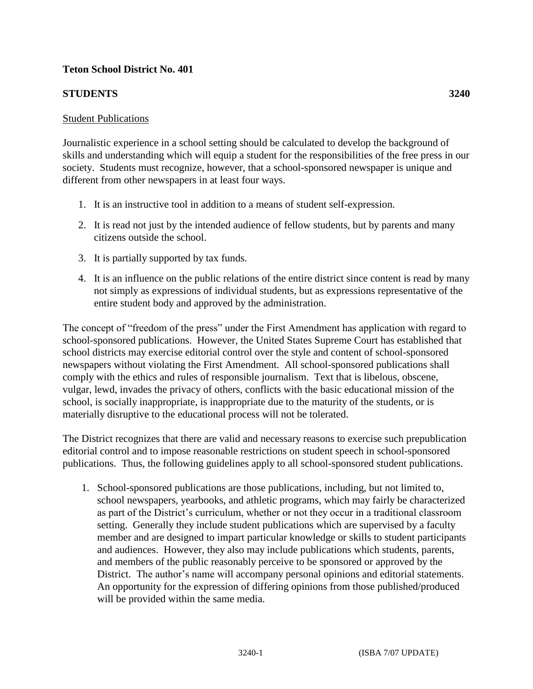## **Teton School District No. 401**

## **STUDENTS 3240**

## Student Publications

Journalistic experience in a school setting should be calculated to develop the background of skills and understanding which will equip a student for the responsibilities of the free press in our society. Students must recognize, however, that a school-sponsored newspaper is unique and different from other newspapers in at least four ways.

- 1. It is an instructive tool in addition to a means of student self-expression.
- 2. It is read not just by the intended audience of fellow students, but by parents and many citizens outside the school.
- 3. It is partially supported by tax funds.
- 4. It is an influence on the public relations of the entire district since content is read by many not simply as expressions of individual students, but as expressions representative of the entire student body and approved by the administration.

The concept of "freedom of the press" under the First Amendment has application with regard to school-sponsored publications. However, the United States Supreme Court has established that school districts may exercise editorial control over the style and content of school-sponsored newspapers without violating the First Amendment. All school-sponsored publications shall comply with the ethics and rules of responsible journalism. Text that is libelous, obscene, vulgar, lewd, invades the privacy of others, conflicts with the basic educational mission of the school, is socially inappropriate, is inappropriate due to the maturity of the students, or is materially disruptive to the educational process will not be tolerated.

The District recognizes that there are valid and necessary reasons to exercise such prepublication editorial control and to impose reasonable restrictions on student speech in school-sponsored publications. Thus, the following guidelines apply to all school-sponsored student publications.

1. School-sponsored publications are those publications, including, but not limited to, school newspapers, yearbooks, and athletic programs, which may fairly be characterized as part of the District's curriculum, whether or not they occur in a traditional classroom setting. Generally they include student publications which are supervised by a faculty member and are designed to impart particular knowledge or skills to student participants and audiences. However, they also may include publications which students, parents, and members of the public reasonably perceive to be sponsored or approved by the District. The author's name will accompany personal opinions and editorial statements. An opportunity for the expression of differing opinions from those published/produced will be provided within the same media.